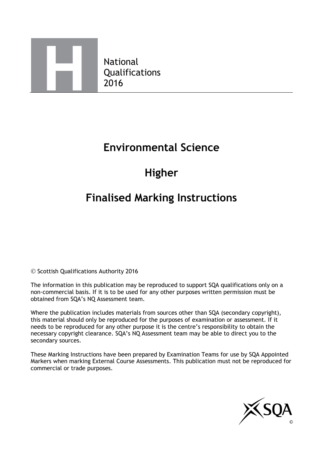

National Qualifications 2016

## **Environmental Science**

# **Higher**

# **Finalised Marking Instructions**

© Scottish Qualifications Authority 2016

The information in this publication may be reproduced to support SQA qualifications only on a non-commercial basis. If it is to be used for any other purposes written permission must be obtained from SQA's NQ Assessment team.

Where the publication includes materials from sources other than SQA (secondary copyright), this material should only be reproduced for the purposes of examination or assessment. If it needs to be reproduced for any other purpose it is the centre's responsibility to obtain the necessary copyright clearance. SQA's NQ Assessment team may be able to direct you to the secondary sources.

These Marking Instructions have been prepared by Examination Teams for use by SQA Appointed Markers when marking External Course Assessments. This publication must not be reproduced for commercial or trade purposes.

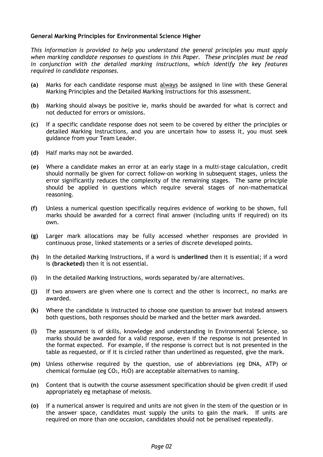#### **General Marking Principles for Environmental Science Higher**

*This information is provided to help you understand the general principles you must apply when marking candidate responses to questions in this Paper. These principles must be read in conjunction with the detailed marking instructions, which identify the key features required in candidate responses.* 

- **(a)** Marks for each candidate response must always be assigned in line with these General Marking Principles and the Detailed Marking Instructions for this assessment.
- **(b)** Marking should always be positive ie, marks should be awarded for what is correct and not deducted for errors or omissions.
- **(c)** If a specific candidate response does not seem to be covered by either the principles or detailed Marking Instructions, and you are uncertain how to assess it, you must seek guidance from your Team Leader.
- **(d)** Half marks may not be awarded.
- **(e)** Where a candidate makes an error at an early stage in a multi-stage calculation, credit should normally be given for correct follow-on working in subsequent stages, unless the error significantly reduces the complexity of the remaining stages. The same principle should be applied in questions which require several stages of non-mathematical reasoning.
- **(f)** Unless a numerical question specifically requires evidence of working to be shown, full marks should be awarded for a correct final answer (including units if required) on its own.
- **(g)** Larger mark allocations may be fully accessed whether responses are provided in continuous prose, linked statements or a series of discrete developed points.
- **(h)** In the detailed Marking Instructions, if a word is **underlined** then it is essential; if a word is **(bracketed)** then it is not essential.
- **(i)** In the detailed Marking Instructions, words separated by/are alternatives.
- **(j)** If two answers are given where one is correct and the other is incorrect, no marks are awarded.
- **(k)** Where the candidate is instructed to choose one question to answer but instead answers both questions, both responses should be marked and the better mark awarded.
- **(l)** The assessment is of skills, knowledge and understanding in Environmental Science, so marks should be awarded for a valid response, even if the response is not presented in the format expected. For example, if the response is correct but is not presented in the table as requested, or if it is circled rather than underlined as requested, give the mark.
- **(m)** Unless otherwise required by the question, use of abbreviations (eg DNA, ATP) or chemical formulae (eg CO2, H2O) are acceptable alternatives to naming.
- **(n)** Content that is outwith the course assessment specification should be given credit if used appropriately eg metaphase of meiosis.
- **(o)** If a numerical answer is required and units are not given in the stem of the question or in the answer space, candidates must supply the units to gain the mark. If units are required on more than one occasion, candidates should not be penalised repeatedly.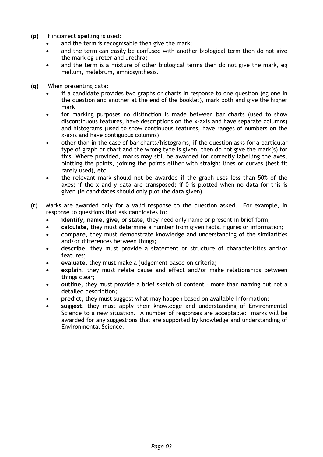- **(p)** If incorrect **spelling** is used:
	- and the term is recognisable then give the mark;
	- and the term can easily be confused with another biological term then do not give the mark eg ureter and urethra;
	- and the term is a mixture of other biological terms then do not give the mark, eg mellum, melebrum, amniosynthesis.
- **(q)** When presenting data:
	- if a candidate provides two graphs or charts in response to one question (eg one in the question and another at the end of the booklet), mark both and give the higher mark
	- for marking purposes no distinction is made between bar charts (used to show discontinuous features, have descriptions on the x-axis and have separate columns) and histograms (used to show continuous features, have ranges of numbers on the x-axis and have contiguous columns)
	- other than in the case of bar charts/histograms, if the question asks for a particular type of graph or chart and the wrong type is given, then do not give the mark(s) for this. Where provided, marks may still be awarded for correctly labelling the axes, plotting the points, joining the points either with straight lines or curves (best fit rarely used), etc.
	- the relevant mark should not be awarded if the graph uses less than 50% of the axes; if the x and y data are transposed; if 0 is plotted when no data for this is given (ie candidates should only plot the data given)
- **(r)** Marks are awarded only for a valid response to the question asked. For example, in response to questions that ask candidates to:
	- **identify**, **name**, **give**, or **state**, they need only name or present in brief form;
	- **calculate**, they must determine a number from given facts, figures or information;
	- **compare**, they must demonstrate knowledge and understanding of the similarities and/or differences between things;
	- **describe**, they must provide a statement or structure of characteristics and/or features;
	- **evaluate**, they must make a judgement based on criteria;
	- **explain**, they must relate cause and effect and/or make relationships between things clear;
	- **outline**, they must provide a brief sketch of content more than naming but not a detailed description;
	- **predict**, they must suggest what may happen based on available information;
	- **suggest**, they must apply their knowledge and understanding of Environmental Science to a new situation. A number of responses are acceptable: marks will be awarded for any suggestions that are supported by knowledge and understanding of Environmental Science.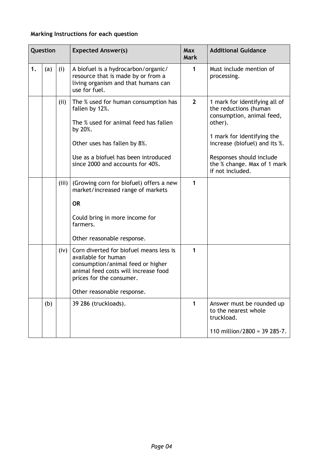### **Marking Instructions for each question**

|    | Question |       | <b>Expected Answer(s)</b>                                                                                                                                                                                              | <b>Max</b><br><b>Mark</b> | <b>Additional Guidance</b>                                                                                                                                                                                                                   |
|----|----------|-------|------------------------------------------------------------------------------------------------------------------------------------------------------------------------------------------------------------------------|---------------------------|----------------------------------------------------------------------------------------------------------------------------------------------------------------------------------------------------------------------------------------------|
| 1. | (a)      | (i)   | A biofuel is a hydrocarbon/organic/<br>resource that is made by or from a<br>living organism and that humans can<br>use for fuel.                                                                                      | 1                         | Must include mention of<br>processing.                                                                                                                                                                                                       |
|    |          | (i)   | The % used for human consumption has<br>fallen by 12%.<br>The % used for animal feed has fallen<br>by 20%.<br>Other uses has fallen by 8%.<br>Use as a biofuel has been introduced<br>since 2000 and accounts for 40%. | $\overline{2}$            | 1 mark for identifying all of<br>the reductions (human<br>consumption, animal feed,<br>other).<br>1 mark for identifying the<br>increase (biofuel) and its %.<br>Responses should include<br>the % change. Max of 1 mark<br>if not included. |
|    |          | (iii) | (Growing corn for biofuel) offers a new<br>market/increased range of markets<br><b>OR</b><br>Could bring in more income for<br>farmers.<br>Other reasonable response.                                                  | 1                         |                                                                                                                                                                                                                                              |
|    |          | (iv)  | Corn diverted for biofuel means less is<br>available for human<br>consumption/animal feed or higher<br>animal feed costs will increase food<br>prices for the consumer.<br>Other reasonable response.                  | 1                         |                                                                                                                                                                                                                                              |
|    | (b)      |       | 39 286 (truckloads).                                                                                                                                                                                                   | 1                         | Answer must be rounded up<br>to the nearest whole<br>truckload.<br>110 million/2800 = 39 285 $\cdot$ 7.                                                                                                                                      |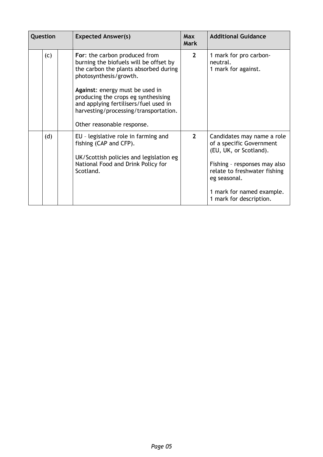| Question | <b>Expected Answer(s)</b>                                                                                                                                                                                                                                                                                                            | Max<br><b>Mark</b> | <b>Additional Guidance</b>                                                                                                                                                                                               |
|----------|--------------------------------------------------------------------------------------------------------------------------------------------------------------------------------------------------------------------------------------------------------------------------------------------------------------------------------------|--------------------|--------------------------------------------------------------------------------------------------------------------------------------------------------------------------------------------------------------------------|
| (c)      | For: the carbon produced from<br>burning the biofuels will be offset by<br>the carbon the plants absorbed during<br>photosynthesis/growth.<br>Against: energy must be used in<br>producing the crops eg synthesising<br>and applying fertilisers/fuel used in<br>harvesting/processing/transportation.<br>Other reasonable response. | $\overline{2}$     | 1 mark for pro carbon-<br>neutral.<br>1 mark for against.                                                                                                                                                                |
| (d)      | EU - legislative role in farming and<br>fishing (CAP and CFP).<br>UK/Scottish policies and legislation eg<br>National Food and Drink Policy for<br>Scotland.                                                                                                                                                                         | $\mathbf{2}$       | Candidates may name a role<br>of a specific Government<br>(EU, UK, or Scotland).<br>Fishing - responses may also<br>relate to freshwater fishing<br>eg seasonal.<br>1 mark for named example.<br>1 mark for description. |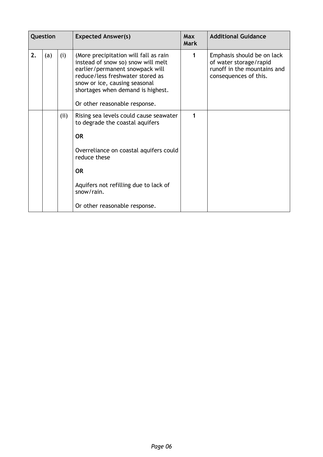| Question |     |      | <b>Expected Answer(s)</b>                                                                                                                                                                                                                                 | <b>Max</b><br>Mark | <b>Additional Guidance</b>                                                                                   |
|----------|-----|------|-----------------------------------------------------------------------------------------------------------------------------------------------------------------------------------------------------------------------------------------------------------|--------------------|--------------------------------------------------------------------------------------------------------------|
| 2.       | (a) | (i)  | (More precipitation will fall as rain<br>instead of snow so) snow will melt<br>earlier/permanent snowpack will<br>reduce/less freshwater stored as<br>snow or ice, causing seasonal<br>shortages when demand is highest.<br>Or other reasonable response. | 1                  | Emphasis should be on lack<br>of water storage/rapid<br>runoff in the mountains and<br>consequences of this. |
|          |     | (ii) | Rising sea levels could cause seawater<br>to degrade the coastal aquifers                                                                                                                                                                                 | 1                  |                                                                                                              |
|          |     |      | <b>OR</b>                                                                                                                                                                                                                                                 |                    |                                                                                                              |
|          |     |      | Overreliance on coastal aquifers could<br>reduce these                                                                                                                                                                                                    |                    |                                                                                                              |
|          |     |      | <b>OR</b>                                                                                                                                                                                                                                                 |                    |                                                                                                              |
|          |     |      | Aquifers not refilling due to lack of<br>snow/rain.                                                                                                                                                                                                       |                    |                                                                                                              |
|          |     |      | Or other reasonable response.                                                                                                                                                                                                                             |                    |                                                                                                              |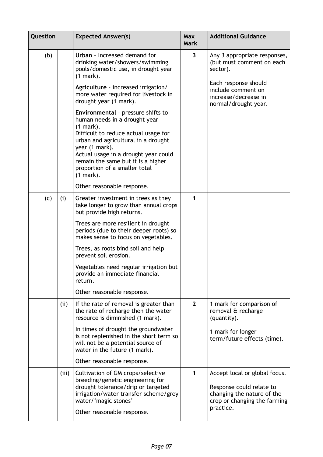| Question |     |       | <b>Expected Answer(s)</b>                                                                                                                                                                                                                                                                                          | Max<br><b>Mark</b>  | <b>Additional Guidance</b>                                                                                                           |
|----------|-----|-------|--------------------------------------------------------------------------------------------------------------------------------------------------------------------------------------------------------------------------------------------------------------------------------------------------------------------|---------------------|--------------------------------------------------------------------------------------------------------------------------------------|
|          | (b) |       | Urban - Increased demand for<br>drinking water/showers/swimming<br>pools/domestic use, in drought year<br>$(1$ mark).                                                                                                                                                                                              | 3                   | Any 3 appropriate responses,<br>(but must comment on each<br>sector).                                                                |
|          |     |       | Agriculture - increased irrigation/<br>more water required for livestock in<br>drought year (1 mark).                                                                                                                                                                                                              |                     | Each response should<br>include comment on<br>increase/decrease in<br>normal/drought year.                                           |
|          |     |       | Environmental - pressure shifts to<br>human needs in a drought year<br>$(1$ mark).<br>Difficult to reduce actual usage for<br>urban and agricultural in a drought<br>year (1 mark).<br>Actual usage in a drought year could<br>remain the same but it is a higher<br>proportion of a smaller total<br>$(1 mark)$ . |                     |                                                                                                                                      |
|          |     |       | Other reasonable response.                                                                                                                                                                                                                                                                                         |                     |                                                                                                                                      |
|          | (c) | (i)   | Greater investment in trees as they<br>take longer to grow than annual crops<br>but provide high returns.                                                                                                                                                                                                          | 1                   |                                                                                                                                      |
|          |     |       | Trees are more resilient in drought<br>periods (due to their deeper roots) so<br>makes sense to focus on vegetables.                                                                                                                                                                                               |                     |                                                                                                                                      |
|          |     |       | Trees, as roots bind soil and help<br>prevent soil erosion.                                                                                                                                                                                                                                                        |                     |                                                                                                                                      |
|          |     |       | Vegetables need regular irrigation but<br>provide an immediate financial<br>return.                                                                                                                                                                                                                                |                     |                                                                                                                                      |
|          |     |       | Other reasonable response.                                                                                                                                                                                                                                                                                         |                     |                                                                                                                                      |
|          |     | (ii)  | If the rate of removal is greater than<br>the rate of recharge then the water<br>resource is diminished (1 mark).                                                                                                                                                                                                  | $2 \nightharpoonup$ | 1 mark for comparison of<br>removal & recharge<br>(quantity).                                                                        |
|          |     |       | In times of drought the groundwater<br>is not replenished in the short term so<br>will not be a potential source of<br>water in the future (1 mark).                                                                                                                                                               |                     | 1 mark for longer<br>term/future effects (time).                                                                                     |
|          |     |       | Other reasonable response.                                                                                                                                                                                                                                                                                         |                     |                                                                                                                                      |
|          |     | (iii) | Cultivation of GM crops/selective<br>breeding/genetic engineering for<br>drought tolerance/drip or targeted<br>irrigation/water transfer scheme/grey<br>water/'magic stones'<br>Other reasonable response.                                                                                                         | 1                   | Accept local or global focus.<br>Response could relate to<br>changing the nature of the<br>crop or changing the farming<br>practice. |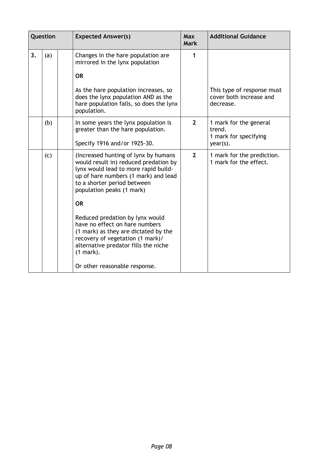| Question |     | <b>Expected Answer(s)</b>                                                                                                                                                                                                              | <b>Max</b><br><b>Mark</b> | <b>Additional Guidance</b>                                               |
|----------|-----|----------------------------------------------------------------------------------------------------------------------------------------------------------------------------------------------------------------------------------------|---------------------------|--------------------------------------------------------------------------|
| 3.       | (a) | Changes in the hare population are<br>mirrored in the lynx population<br><b>OR</b><br>As the hare population increases, so<br>does the lynx population AND as the<br>hare population falls, so does the lynx<br>population.            | 1                         | This type of response must<br>cover both increase and<br>decrease.       |
|          | (b) | In some years the lynx population is<br>greater than the hare population.<br>Specify 1916 and/or 1925-30.                                                                                                                              | $\overline{2}$            | 1 mark for the general<br>trend.<br>1 mark for specifying<br>$year(s)$ . |
|          | (c) | (Increased hunting of lynx by humans<br>would result in) reduced predation by<br>lynx would lead to more rapid build-<br>up of hare numbers (1 mark) and lead<br>to a shorter period between<br>population peaks (1 mark)<br><b>OR</b> | $\overline{2}$            | 1 mark for the prediction.<br>1 mark for the effect.                     |
|          |     | Reduced predation by lynx would<br>have no effect on hare numbers<br>(1 mark) as they are dictated by the<br>recovery of vegetation (1 mark)/<br>alternative predator fills the niche<br>$(1 mark)$ .<br>Or other reasonable response. |                           |                                                                          |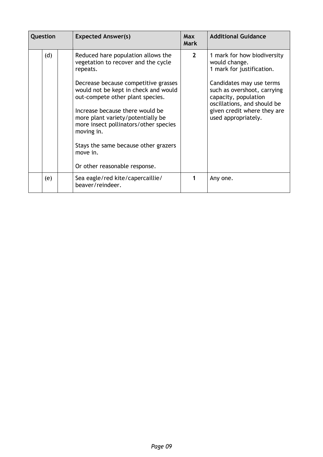| Question |     | <b>Expected Answer(s)</b>                                                                                                     | <b>Max</b><br><b>Mark</b> | <b>Additional Guidance</b>                                                                            |
|----------|-----|-------------------------------------------------------------------------------------------------------------------------------|---------------------------|-------------------------------------------------------------------------------------------------------|
|          | (d) | Reduced hare population allows the<br>vegetation to recover and the cycle<br>repeats.<br>Decrease because competitive grasses | 2 <sup>1</sup>            | 1 mark for how biodiversity<br>would change.<br>1 mark for justification.<br>Candidates may use terms |
|          |     | would not be kept in check and would<br>out-compete other plant species.                                                      |                           | such as overshoot, carrying<br>capacity, population<br>oscillations, and should be                    |
|          |     | Increase because there would be<br>more plant variety/potentially be<br>more insect pollinators/other species<br>moving in.   |                           | given credit where they are<br>used appropriately.                                                    |
|          |     | Stays the same because other grazers<br>move in.                                                                              |                           |                                                                                                       |
|          |     | Or other reasonable response.                                                                                                 |                           |                                                                                                       |
|          | (e) | Sea eagle/red kite/capercaillie/<br>beaver/reindeer.                                                                          |                           | Any one.                                                                                              |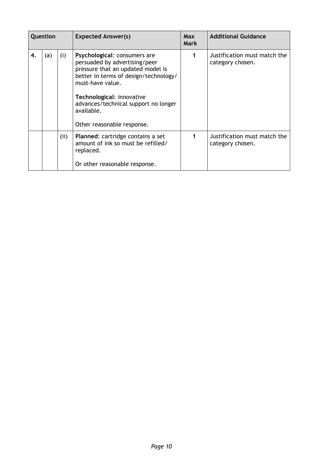| Question |     |     | <b>Expected Answer(s)</b>                                                                                                                                                                                                                                                        | <b>Max</b><br><b>Mark</b> | <b>Additional Guidance</b>                       |
|----------|-----|-----|----------------------------------------------------------------------------------------------------------------------------------------------------------------------------------------------------------------------------------------------------------------------------------|---------------------------|--------------------------------------------------|
| 4.       | (a) | (i) | Psychological: consumers are<br>persuaded by advertising/peer<br>pressure that an updated model is<br>better in terms of design/technology/<br>must-have value.<br>Technological: innovative<br>advances/technical support no longer<br>available.<br>Other reasonable response. |                           | Justification must match the<br>category chosen. |
|          |     | (i) | Planned: cartridge contains a set<br>amount of ink so must be refilled/<br>replaced.<br>Or other reasonable response.                                                                                                                                                            |                           | Justification must match the<br>category chosen. |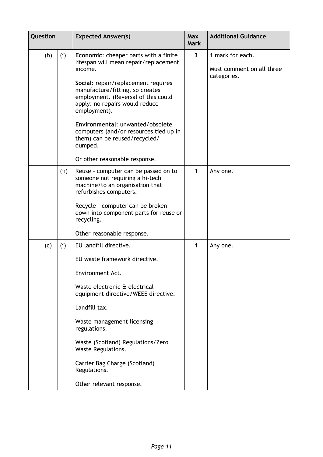| Question |      | <b>Expected Answer(s)</b>                                                                                                                                                                                                                                                                                                                                                                                               | <b>Max</b><br><b>Mark</b> | <b>Additional Guidance</b>                                   |
|----------|------|-------------------------------------------------------------------------------------------------------------------------------------------------------------------------------------------------------------------------------------------------------------------------------------------------------------------------------------------------------------------------------------------------------------------------|---------------------------|--------------------------------------------------------------|
| (b)      | (i)  | Economic: cheaper parts with a finite<br>lifespan will mean repair/replacement<br>income.<br>Social: repair/replacement requires<br>manufacture/fitting, so creates<br>employment. (Reversal of this could<br>apply: no repairs would reduce<br>employment).<br>Environmental: unwanted/obsolete<br>computers (and/or resources tied up in<br>them) can be reused/recycled/<br>dumped.<br>Or other reasonable response. | $\overline{\mathbf{3}}$   | 1 mark for each.<br>Must comment on all three<br>categories. |
|          | (ii) | Reuse - computer can be passed on to<br>someone not requiring a hi-tech<br>machine/to an organisation that<br>refurbishes computers.<br>Recycle - computer can be broken<br>down into component parts for reuse or<br>recycling.<br>Other reasonable response.                                                                                                                                                          | $\mathbf{1}$              | Any one.                                                     |
| (c)      | (i)  | EU landfill directive.<br>EU waste framework directive.<br>Environment Act.<br>Waste electronic & electrical<br>equipment directive/WEEE directive.<br>Landfill tax.<br>Waste management licensing<br>regulations.<br>Waste (Scotland) Regulations/Zero<br><b>Waste Regulations.</b><br>Carrier Bag Charge (Scotland)<br>Regulations.<br>Other relevant response.                                                       | 1                         | Any one.                                                     |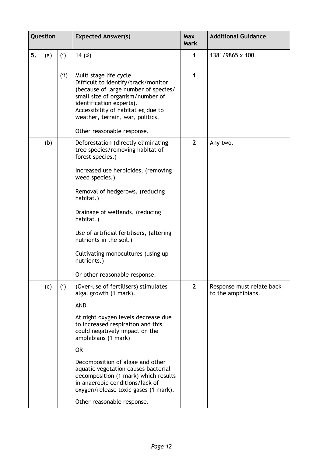| Question |     |      | <b>Expected Answer(s)</b>                                                                                                                                                                                                                       | <b>Max</b><br><b>Mark</b> | <b>Additional Guidance</b>                      |
|----------|-----|------|-------------------------------------------------------------------------------------------------------------------------------------------------------------------------------------------------------------------------------------------------|---------------------------|-------------------------------------------------|
| 5.       | (a) | (i)  | 14 $(\%)$                                                                                                                                                                                                                                       | 1                         | 1381/9865 x 100.                                |
|          |     | (ii) | Multi stage life cycle<br>Difficult to identify/track/monitor<br>(because of large number of species/<br>small size of organism/number of<br>identification experts).<br>Accessibility of habitat eg due to<br>weather, terrain, war, politics. | 1                         |                                                 |
|          |     |      | Other reasonable response.                                                                                                                                                                                                                      |                           |                                                 |
|          | (b) |      | Deforestation (directly eliminating<br>tree species/removing habitat of<br>forest species.)                                                                                                                                                     | $\overline{2}$            | Any two.                                        |
|          |     |      | Increased use herbicides, (removing<br>weed species.)                                                                                                                                                                                           |                           |                                                 |
|          |     |      | Removal of hedgerows, (reducing<br>habitat.)                                                                                                                                                                                                    |                           |                                                 |
|          |     |      | Drainage of wetlands, (reducing<br>habitat.)                                                                                                                                                                                                    |                           |                                                 |
|          |     |      | Use of artificial fertilisers, (altering<br>nutrients in the soil.)                                                                                                                                                                             |                           |                                                 |
|          |     |      | Cultivating monocultures (using up<br>nutrients.)                                                                                                                                                                                               |                           |                                                 |
|          |     |      | Or other reasonable response.                                                                                                                                                                                                                   |                           |                                                 |
|          | (c) | (i)  | (Over-use of fertilisers) stimulates<br>algal growth (1 mark).                                                                                                                                                                                  | 2 <sup>1</sup>            | Response must relate back<br>to the amphibians. |
|          |     |      | <b>AND</b>                                                                                                                                                                                                                                      |                           |                                                 |
|          |     |      | At night oxygen levels decrease due<br>to increased respiration and this<br>could negatively impact on the<br>amphibians (1 mark)                                                                                                               |                           |                                                 |
|          |     |      | <b>OR</b>                                                                                                                                                                                                                                       |                           |                                                 |
|          |     |      | Decomposition of algae and other<br>aquatic vegetation causes bacterial<br>decomposition (1 mark) which results<br>in anaerobic conditions/lack of<br>oxygen/release toxic gases (1 mark).                                                      |                           |                                                 |
|          |     |      | Other reasonable response.                                                                                                                                                                                                                      |                           |                                                 |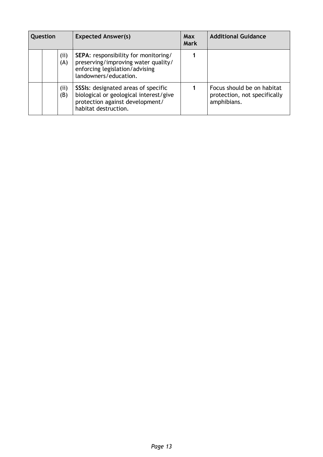| Question |  |            | <b>Expected Answer(s)</b>                                                                                                                       | <b>Max</b><br><b>Mark</b> | <b>Additional Guidance</b>                                                |
|----------|--|------------|-------------------------------------------------------------------------------------------------------------------------------------------------|---------------------------|---------------------------------------------------------------------------|
|          |  | (i)<br>(A) | <b>SEPA:</b> responsibility for monitoring/<br>preserving/improving water quality/<br>enforcing legislation/advising<br>landowners/education.   |                           |                                                                           |
|          |  | (i)<br>(B) | <b>SSSIs:</b> designated areas of specific<br>biological or geological interest/give<br>protection against development/<br>habitat destruction. |                           | Focus should be on habitat<br>protection, not specifically<br>amphibians. |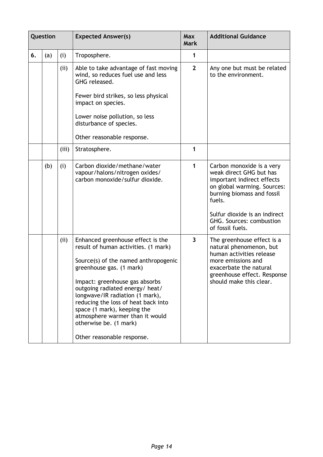| Question |     |       | <b>Expected Answer(s)</b>                                                                                                                                                                                                                                                                                                                                                                                              | Max<br><b>Mark</b> | <b>Additional Guidance</b>                                                                                                                                                                                                                 |
|----------|-----|-------|------------------------------------------------------------------------------------------------------------------------------------------------------------------------------------------------------------------------------------------------------------------------------------------------------------------------------------------------------------------------------------------------------------------------|--------------------|--------------------------------------------------------------------------------------------------------------------------------------------------------------------------------------------------------------------------------------------|
| 6.       | (a) | (i)   | Troposphere.                                                                                                                                                                                                                                                                                                                                                                                                           | 1                  |                                                                                                                                                                                                                                            |
|          |     | (ii)  | Able to take advantage of fast moving<br>wind, so reduces fuel use and less<br>GHG released.<br>Fewer bird strikes, so less physical<br>impact on species.<br>Lower noise pollution, so less<br>disturbance of species.<br>Other reasonable response.                                                                                                                                                                  | $\overline{2}$     | Any one but must be related<br>to the environment.                                                                                                                                                                                         |
|          |     | (iii) | Stratosphere.                                                                                                                                                                                                                                                                                                                                                                                                          | 1                  |                                                                                                                                                                                                                                            |
|          | (b) | (i)   | Carbon dioxide/methane/water<br>vapour/halons/nitrogen oxides/<br>carbon monoxide/sulfur dioxide.                                                                                                                                                                                                                                                                                                                      | 1                  | Carbon monoxide is a very<br>weak direct GHG but has<br>important indirect effects<br>on global warming. Sources:<br>burning biomass and fossil<br>fuels.<br>Sulfur dioxide is an indirect<br>GHG. Sources: combustion<br>of fossil fuels. |
|          |     | (ii)  | Enhanced greenhouse effect is the<br>result of human activities. (1 mark)<br>Source(s) of the named anthropogenic<br>greenhouse gas. (1 mark)<br>Impact: greenhouse gas absorbs<br>outgoing radiated energy/ heat/<br>longwave/IR radiation (1 mark),<br>reducing the loss of heat back into<br>space (1 mark), keeping the<br>atmosphere warmer than it would<br>otherwise be. (1 mark)<br>Other reasonable response. | 3                  | The greenhouse effect is a<br>natural phenomenon, but<br>human activities release<br>more emissions and<br>exacerbate the natural<br>greenhouse effect. Response<br>should make this clear.                                                |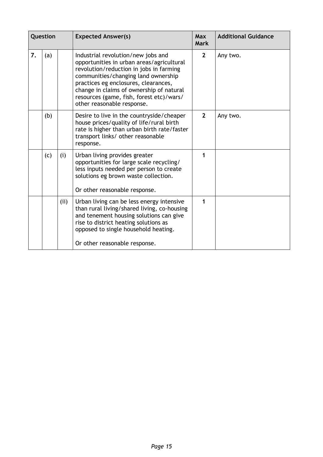| Question |     |      | <b>Expected Answer(s)</b>                                                                                                                                                                                                                                                                                                       | <b>Max</b><br><b>Mark</b> | <b>Additional Guidance</b> |
|----------|-----|------|---------------------------------------------------------------------------------------------------------------------------------------------------------------------------------------------------------------------------------------------------------------------------------------------------------------------------------|---------------------------|----------------------------|
| 7.       | (a) |      | Industrial revolution/new jobs and<br>opportunities in urban areas/agricultural<br>revolution/reduction in jobs in farming<br>communities/changing land ownership<br>practices eg enclosures, clearances,<br>change in claims of ownership of natural<br>resources (game, fish, forest etc)/wars/<br>other reasonable response. | $\mathbf{2}$              | Any two.                   |
|          | (b) |      | Desire to live in the countryside/cheaper<br>house prices/quality of life/rural birth<br>rate is higher than urban birth rate/faster<br>transport links/ other reasonable<br>response.                                                                                                                                          | $\overline{2}$            | Any two.                   |
|          | (c) | (i)  | Urban living provides greater<br>opportunities for large scale recycling/<br>less inputs needed per person to create<br>solutions eg brown waste collection.<br>Or other reasonable response.                                                                                                                                   | 1                         |                            |
|          |     | (ii) | Urban living can be less energy intensive<br>than rural living/shared living, co-housing<br>and tenement housing solutions can give<br>rise to district heating solutions as<br>opposed to single household heating.<br>Or other reasonable response.                                                                           | 1                         |                            |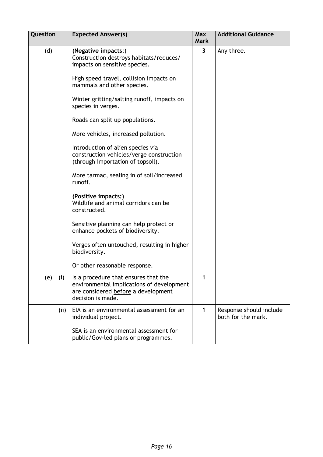| Question |      | <b>Expected Answer(s)</b>                                                                                                                     | <b>Max</b><br><b>Mark</b> | <b>Additional Guidance</b>                    |
|----------|------|-----------------------------------------------------------------------------------------------------------------------------------------------|---------------------------|-----------------------------------------------|
| (d)      |      | (Negative impacts:)<br>Construction destroys habitats/reduces/<br>impacts on sensitive species.                                               | $\overline{\mathbf{3}}$   | Any three.                                    |
|          |      | High speed travel, collision impacts on<br>mammals and other species.                                                                         |                           |                                               |
|          |      | Winter gritting/salting runoff, impacts on<br>species in verges.                                                                              |                           |                                               |
|          |      | Roads can split up populations.                                                                                                               |                           |                                               |
|          |      | More vehicles, increased pollution.                                                                                                           |                           |                                               |
|          |      | Introduction of alien species via<br>construction vehicles/verge construction<br>(through importation of topsoil).                            |                           |                                               |
|          |      | More tarmac, sealing in of soil/increased<br>runoff.                                                                                          |                           |                                               |
|          |      | (Positive impacts:)<br>Wildlife and animal corridors can be<br>constructed.                                                                   |                           |                                               |
|          |      | Sensitive planning can help protect or<br>enhance pockets of biodiversity.                                                                    |                           |                                               |
|          |      | Verges often untouched, resulting in higher<br>biodiversity.                                                                                  |                           |                                               |
|          |      | Or other reasonable response.                                                                                                                 |                           |                                               |
| (e)      | (i)  | Is a procedure that ensures that the<br>environmental implications of development<br>are considered before a development<br>decision is made. | 1                         |                                               |
|          | (ii) | EIA is an environmental assessment for an<br>individual project.                                                                              | $\mathbf 1$               | Response should include<br>both for the mark. |
|          |      | SEA is an environmental assessment for<br>public/Gov-led plans or programmes.                                                                 |                           |                                               |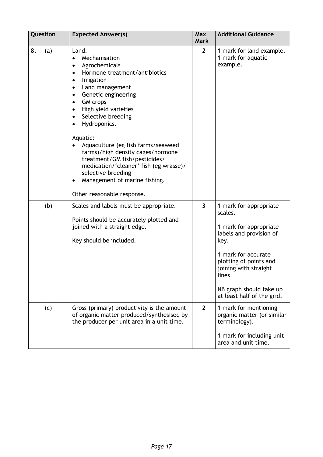|    | Question | <b>Expected Answer(s)</b>                                                                                                                                                                                                                                                                                                                                                                                                                                                                                                                                                                                  | <b>Max</b><br><b>Mark</b> | <b>Additional Guidance</b>                                                                                                                                                                                                                  |
|----|----------|------------------------------------------------------------------------------------------------------------------------------------------------------------------------------------------------------------------------------------------------------------------------------------------------------------------------------------------------------------------------------------------------------------------------------------------------------------------------------------------------------------------------------------------------------------------------------------------------------------|---------------------------|---------------------------------------------------------------------------------------------------------------------------------------------------------------------------------------------------------------------------------------------|
| 8. | (a)      | Land:<br>Mechanisation<br>$\bullet$<br>Agrochemicals<br>Hormone treatment/antibiotics<br>$\bullet$<br>Irrigation<br>$\bullet$<br>Land management<br>$\bullet$<br>Genetic engineering<br>$\bullet$<br><b>GM</b> crops<br>$\bullet$<br>High yield varieties<br>$\bullet$<br>Selective breeding<br>$\bullet$<br>Hydroponics.<br>$\bullet$<br>Aquatic:<br>Aquaculture (eg fish farms/seaweed<br>farms)/high density cages/hormone<br>treatment/GM fish/pesticides/<br>medication/'cleaner' fish (eg wrasse)/<br>selective breeding<br>Management of marine fishing.<br>$\bullet$<br>Other reasonable response. | $\mathbf{2}$              | 1 mark for land example.<br>1 mark for aquatic<br>example.                                                                                                                                                                                  |
|    | (b)      | Scales and labels must be appropriate.<br>Points should be accurately plotted and<br>joined with a straight edge.<br>Key should be included.                                                                                                                                                                                                                                                                                                                                                                                                                                                               | 3                         | 1 mark for appropriate<br>scales.<br>1 mark for appropriate<br>labels and provision of<br>key.<br>1 mark for accurate<br>plotting of points and<br>joining with straight<br>lines.<br>NB graph should take up<br>at least half of the grid. |
|    | (c)      | Gross (primary) productivity is the amount<br>of organic matter produced/synthesised by<br>the producer per unit area in a unit time.                                                                                                                                                                                                                                                                                                                                                                                                                                                                      | $\mathbf{2}$              | 1 mark for mentioning<br>organic matter (or similar<br>terminology).<br>1 mark for including unit<br>area and unit time.                                                                                                                    |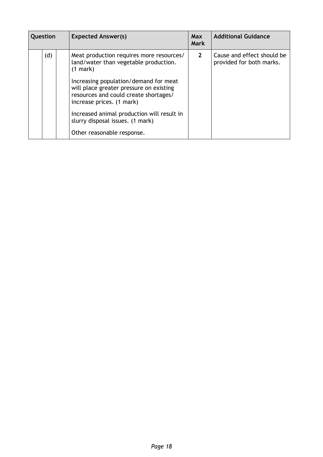| Question |     | <b>Expected Answer(s)</b>                                                                                                                              | <b>Max</b><br><b>Mark</b> | <b>Additional Guidance</b>                             |
|----------|-----|--------------------------------------------------------------------------------------------------------------------------------------------------------|---------------------------|--------------------------------------------------------|
|          | (d) | Meat production requires more resources/<br>land/water than vegetable production.<br>$(1$ mark $)$                                                     | $2^{\circ}$               | Cause and effect should be<br>provided for both marks. |
|          |     | Increasing population/demand for meat<br>will place greater pressure on existing<br>resources and could create shortages/<br>increase prices. (1 mark) |                           |                                                        |
|          |     | Increased animal production will result in<br>slurry disposal issues. (1 mark)                                                                         |                           |                                                        |
|          |     | Other reasonable response.                                                                                                                             |                           |                                                        |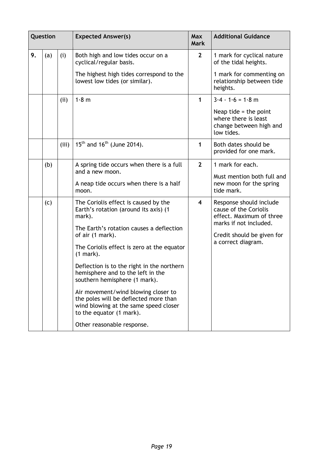|    | Question |       | <b>Expected Answer(s)</b>                                                                                                                         | <b>Max</b><br><b>Mark</b> | <b>Additional Guidance</b>                                                               |
|----|----------|-------|---------------------------------------------------------------------------------------------------------------------------------------------------|---------------------------|------------------------------------------------------------------------------------------|
| 9. | (a)      | (i)   | Both high and low tides occur on a<br>cyclical/regular basis.                                                                                     | 2 <sup>2</sup>            | 1 mark for cyclical nature<br>of the tidal heights.                                      |
|    |          |       | The highest high tides correspond to the<br>lowest low tides (or similar).                                                                        |                           | 1 mark for commenting on<br>relationship between tide<br>heights.                        |
|    |          | (ii)  | 1.8 m                                                                                                                                             | 1                         | $3.4 - 1.6 = 1.8$ m                                                                      |
|    |          |       |                                                                                                                                                   |                           | Neap tide $=$ the point<br>where there is least<br>change between high and<br>low tides. |
|    |          | (iii) | $15^{th}$ and $16^{th}$ (June 2014).                                                                                                              | 1                         | Both dates should be<br>provided for one mark.                                           |
|    | (b)      |       | A spring tide occurs when there is a full<br>and a new moon.                                                                                      | $\overline{2}$            | 1 mark for each.                                                                         |
|    |          |       | A neap tide occurs when there is a half<br>moon.                                                                                                  |                           | Must mention both full and<br>new moon for the spring<br>tide mark.                      |
|    | (c)      |       | The Coriolis effect is caused by the<br>Earth's rotation (around its axis) (1<br>mark).                                                           | $\overline{\mathbf{4}}$   | Response should include<br>cause of the Coriolis<br>effect. Maximum of three             |
|    |          |       | The Earth's rotation causes a deflection<br>of air (1 mark).                                                                                      |                           | marks if not included.<br>Credit should be given for                                     |
|    |          |       | The Coriolis effect is zero at the equator<br>$(1 mark)$ .                                                                                        |                           | a correct diagram.                                                                       |
|    |          |       | Deflection is to the right in the northern<br>hemisphere and to the left in the<br>southern hemisphere (1 mark).                                  |                           |                                                                                          |
|    |          |       | Air movement/wind blowing closer to<br>the poles will be deflected more than<br>wind blowing at the same speed closer<br>to the equator (1 mark). |                           |                                                                                          |
|    |          |       | Other reasonable response.                                                                                                                        |                           |                                                                                          |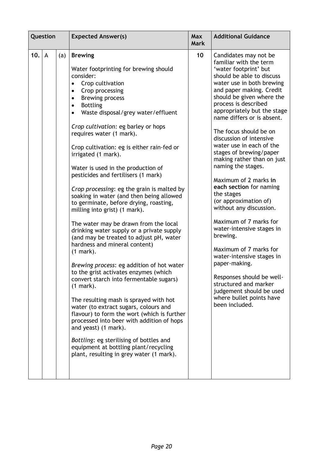| Question |   |     | <b>Expected Answer(s)</b>                                                                                                                                                                                                                                                                                                                                                                                                                                                                                                                                                                                                                                                                                                                                                                                                                                                                                                                                                                                                                                                                                                                                                                                                                                                                                    | <b>Max</b><br><b>Mark</b> | <b>Additional Guidance</b>                                                                                                                                                                                                                                                                                                                                                                                                                                                                                                                                                                                                                                                                                                                                                                                                                        |
|----------|---|-----|--------------------------------------------------------------------------------------------------------------------------------------------------------------------------------------------------------------------------------------------------------------------------------------------------------------------------------------------------------------------------------------------------------------------------------------------------------------------------------------------------------------------------------------------------------------------------------------------------------------------------------------------------------------------------------------------------------------------------------------------------------------------------------------------------------------------------------------------------------------------------------------------------------------------------------------------------------------------------------------------------------------------------------------------------------------------------------------------------------------------------------------------------------------------------------------------------------------------------------------------------------------------------------------------------------------|---------------------------|---------------------------------------------------------------------------------------------------------------------------------------------------------------------------------------------------------------------------------------------------------------------------------------------------------------------------------------------------------------------------------------------------------------------------------------------------------------------------------------------------------------------------------------------------------------------------------------------------------------------------------------------------------------------------------------------------------------------------------------------------------------------------------------------------------------------------------------------------|
| 10.      | A | (a) | <b>Brewing</b><br>Water footprinting for brewing should<br>consider:<br>Crop cultivation<br>Crop processing<br>٠<br><b>Brewing process</b><br>$\bullet$<br><b>Bottling</b><br>$\bullet$<br>Waste disposal/grey water/effluent<br>$\bullet$<br>Crop cultivation: eg barley or hops<br>requires water (1 mark).<br>Crop cultivation: eg is either rain-fed or<br>irrigated (1 mark).<br>Water is used in the production of<br>pesticides and fertilisers (1 mark)<br>Crop processing: eg the grain is malted by<br>soaking in water (and then being allowed<br>to germinate, before drying, roasting,<br>milling into grist) (1 mark).<br>The water may be drawn from the local<br>drinking water supply or a private supply<br>(and may be treated to adjust pH, water<br>hardness and mineral content)<br>$(1$ mark).<br>Brewing process: eg addition of hot water<br>to the grist activates enzymes (which<br>convert starch into fermentable sugars)<br>$(1$ mark).<br>The resulting mash is sprayed with hot<br>water (to extract sugars, colours and<br>flavour) to form the wort (which is further<br>processed into beer with addition of hops<br>and yeast) (1 mark).<br>Bottling: eg sterilising of bottles and<br>equipment at bottling plant/recycling<br>plant, resulting in grey water (1 mark). | 10                        | Candidates may not be<br>familiar with the term<br>'water footprint' but<br>should be able to discuss<br>water use in both brewing<br>and paper making. Credit<br>should be given where the<br>process is described<br>appropriately but the stage<br>name differs or is absent.<br>The focus should be on<br>discussion of intensive<br>water use in each of the<br>stages of brewing/paper<br>making rather than on just<br>naming the stages.<br>Maximum of 2 marks in<br>each section for naming<br>the stages<br>(or approximation of)<br>without any discussion.<br>Maximum of 7 marks for<br>water-intensive stages in<br>brewing.<br>Maximum of 7 marks for<br>water-intensive stages in<br>paper-making.<br>Responses should be well-<br>structured and marker<br>judgement should be used<br>where bullet points have<br>been included. |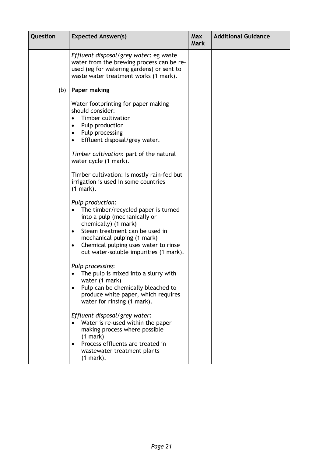| Question |  |     | <b>Expected Answer(s)</b>                                                                                                                                                                                                                                                                    | <b>Max</b><br><b>Mark</b> | <b>Additional Guidance</b> |
|----------|--|-----|----------------------------------------------------------------------------------------------------------------------------------------------------------------------------------------------------------------------------------------------------------------------------------------------|---------------------------|----------------------------|
|          |  |     | Effluent disposal/grey water: eg waste<br>water from the brewing process can be re-<br>used (eg for watering gardens) or sent to<br>waste water treatment works (1 mark).                                                                                                                    |                           |                            |
|          |  | (b) | Paper making                                                                                                                                                                                                                                                                                 |                           |                            |
|          |  |     | Water footprinting for paper making<br>should consider:<br>Timber cultivation<br>Pulp production<br>٠<br>Pulp processing<br>$\bullet$<br>Effluent disposal/grey water.<br>$\bullet$                                                                                                          |                           |                            |
|          |  |     | Timber cultivation: part of the natural<br>water cycle (1 mark).                                                                                                                                                                                                                             |                           |                            |
|          |  |     | Timber cultivation: is mostly rain-fed but<br>irrigation is used in some countries<br>$(1$ mark).                                                                                                                                                                                            |                           |                            |
|          |  |     | Pulp production:<br>The timber/recycled paper is turned<br>into a pulp (mechanically or<br>chemically) (1 mark)<br>Steam treatment can be used in<br>$\bullet$<br>mechanical pulping (1 mark)<br>Chemical pulping uses water to rinse<br>$\bullet$<br>out water-soluble impurities (1 mark). |                           |                            |
|          |  |     | Pulp processing:<br>The pulp is mixed into a slurry with<br>water (1 mark)<br>Pulp can be chemically bleached to<br>$\bullet$<br>produce white paper, which requires<br>water for rinsing (1 mark).                                                                                          |                           |                            |
|          |  |     | Effluent disposal/grey water:<br>Water is re-used within the paper<br>making process where possible<br>(1 mark)<br>Process effluents are treated in<br>$\bullet$<br>wastewater treatment plants<br>$(1$ mark).                                                                               |                           |                            |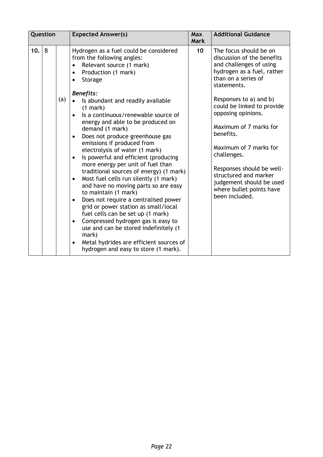|     | Question |     | <b>Expected Answer(s)</b>                                                                                                                                                                                                                                                                                                                                                                                                                                                                                                                                                                                                                                                                                                                                                                                                                                                                                                                                                                                                             | <b>Max</b><br><b>Mark</b> | <b>Additional Guidance</b>                                                                                                                                                                                                                                                                                                                                                                                                                        |
|-----|----------|-----|---------------------------------------------------------------------------------------------------------------------------------------------------------------------------------------------------------------------------------------------------------------------------------------------------------------------------------------------------------------------------------------------------------------------------------------------------------------------------------------------------------------------------------------------------------------------------------------------------------------------------------------------------------------------------------------------------------------------------------------------------------------------------------------------------------------------------------------------------------------------------------------------------------------------------------------------------------------------------------------------------------------------------------------|---------------------------|---------------------------------------------------------------------------------------------------------------------------------------------------------------------------------------------------------------------------------------------------------------------------------------------------------------------------------------------------------------------------------------------------------------------------------------------------|
| 10. | B        | (a) | Hydrogen as a fuel could be considered<br>from the following angles:<br>Relevant source (1 mark)<br>Production (1 mark)<br>Storage<br><b>Benefits:</b><br>Is abundant and readily available<br>(1 mark)<br>Is a continuous/renewable source of<br>$\bullet$<br>energy and able to be produced on<br>demand (1 mark)<br>Does not produce greenhouse gas<br>$\bullet$<br>emissions if produced from<br>electrolysis of water (1 mark)<br>Is powerful and efficient (producing<br>$\bullet$<br>more energy per unit of fuel than<br>traditional sources of energy) (1 mark)<br>Most fuel cells run silently (1 mark)<br>$\bullet$<br>and have no moving parts so are easy<br>to maintain (1 mark)<br>Does not require a centralised power<br>$\bullet$<br>grid or power station as small/local<br>fuel cells can be set up (1 mark)<br>Compressed hydrogen gas is easy to<br>$\bullet$<br>use and can be stored indefinitely (1<br>mark)<br>Metal hydrides are efficient sources of<br>$\bullet$<br>hydrogen and easy to store (1 mark). | 10 <sup>1</sup>           | The focus should be on<br>discussion of the benefits<br>and challenges of using<br>hydrogen as a fuel, rather<br>than on a series of<br>statements.<br>Responses to a) and b)<br>could be linked to provide<br>opposing opinions.<br>Maximum of 7 marks for<br>benefits.<br>Maximum of 7 marks for<br>challenges.<br>Responses should be well-<br>structured and marker<br>judgement should be used<br>where bullet points have<br>been included. |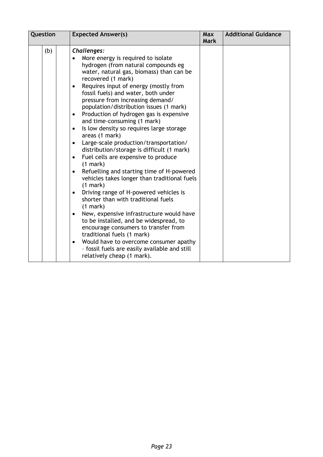| Question | <b>Expected Answer(s)</b>                                                                                                                                                                                                                                                                                                                                                                                                                                                                                                                                                                                                                                                                                                                                                                                                                                                                                                                                                                                                                                                                                                                                                     | <b>Max</b><br><b>Mark</b> | <b>Additional Guidance</b> |
|----------|-------------------------------------------------------------------------------------------------------------------------------------------------------------------------------------------------------------------------------------------------------------------------------------------------------------------------------------------------------------------------------------------------------------------------------------------------------------------------------------------------------------------------------------------------------------------------------------------------------------------------------------------------------------------------------------------------------------------------------------------------------------------------------------------------------------------------------------------------------------------------------------------------------------------------------------------------------------------------------------------------------------------------------------------------------------------------------------------------------------------------------------------------------------------------------|---------------------------|----------------------------|
| (b)      | Challenges:<br>More energy is required to isolate<br>hydrogen (from natural compounds eg<br>water, natural gas, biomass) than can be<br>recovered (1 mark)<br>Requires input of energy (mostly from<br>٠<br>fossil fuels) and water, both under<br>pressure from increasing demand/<br>population/distribution issues (1 mark)<br>Production of hydrogen gas is expensive<br>$\bullet$<br>and time-consuming (1 mark)<br>Is low density so requires large storage<br>areas (1 mark)<br>Large-scale production/transportation/<br>$\bullet$<br>distribution/storage is difficult (1 mark)<br>Fuel cells are expensive to produce<br>$\bullet$<br>(1 mark)<br>Refuelling and starting time of H-powered<br>vehicles takes longer than traditional fuels<br>(1 mark)<br>Driving range of H-powered vehicles is<br>shorter than with traditional fuels<br>(1 mark)<br>New, expensive infrastructure would have<br>$\bullet$<br>to be installed, and be widespread, to<br>encourage consumers to transfer from<br>traditional fuels (1 mark)<br>Would have to overcome consumer apathy<br>$\bullet$<br>- fossil fuels are easily available and still<br>relatively cheap (1 mark). |                           |                            |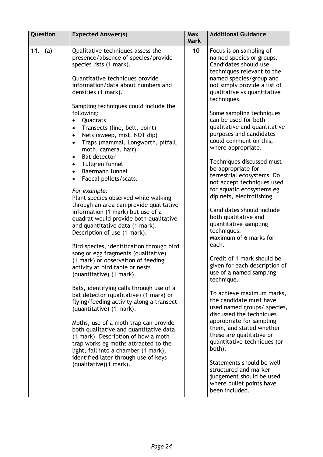| Question   | <b>Expected Answer(s)</b>                                                                                                                                                                                                                                                                                                                                                                                                                                                                                                                                                                                                                                                                                                                                                                                                                                                                                                                                                                                                                                                                                                                                                                                                                                                                                                                | <b>Max</b><br><b>Mark</b> | <b>Additional Guidance</b>                                                                                                                                                                                                                                                                                                                                                                                                                                                                                                                                                                                                                                                                                                                                                                                                                                                                                                                                                                                                                |
|------------|------------------------------------------------------------------------------------------------------------------------------------------------------------------------------------------------------------------------------------------------------------------------------------------------------------------------------------------------------------------------------------------------------------------------------------------------------------------------------------------------------------------------------------------------------------------------------------------------------------------------------------------------------------------------------------------------------------------------------------------------------------------------------------------------------------------------------------------------------------------------------------------------------------------------------------------------------------------------------------------------------------------------------------------------------------------------------------------------------------------------------------------------------------------------------------------------------------------------------------------------------------------------------------------------------------------------------------------|---------------------------|-------------------------------------------------------------------------------------------------------------------------------------------------------------------------------------------------------------------------------------------------------------------------------------------------------------------------------------------------------------------------------------------------------------------------------------------------------------------------------------------------------------------------------------------------------------------------------------------------------------------------------------------------------------------------------------------------------------------------------------------------------------------------------------------------------------------------------------------------------------------------------------------------------------------------------------------------------------------------------------------------------------------------------------------|
| 11.<br>(a) | Qualitative techniques assess the<br>presence/absence of species/provide<br>species lists (1 mark).<br>Quantitative techniques provide<br>information/data about numbers and<br>densities (1 mark).<br>Sampling techniques could include the<br>following:<br>Quadrats<br>Transects (line, belt, point)<br>Nets (sweep, mist, NOT dip)<br>$\bullet$<br>Traps (mammal, Longworth, pitfall,<br>$\bullet$<br>moth, camera, hair)<br><b>Bat detector</b><br>$\bullet$<br>Tullgren funnel<br>$\bullet$<br>Baermann funnel<br>$\bullet$<br>Faecal pellets/scats.<br>For example:<br>Plant species observed while walking<br>through an area can provide qualitative<br>information (1 mark) but use of a<br>quadrat would provide both qualitative<br>and quantitative data (1 mark).<br>Description of use (1 mark).<br>Bird species, identification through bird<br>song or egg fragments (qualitative)<br>(1 mark) or observation of feeding<br>activity at bird table or nests<br>(quantitative) (1 mark).<br>Bats, identifying calls through use of a<br>bat detector (qualitative) (1 mark) or<br>flying/feeding activity along a transect<br>(quantitative) (1 mark).<br>Moths, use of a moth trap can provide<br>both qualitative and quantitative data<br>(1 mark). Description of how a moth<br>trap works eg moths attracted to the | 10                        | Focus is on sampling of<br>named species or groups.<br>Candidates should use<br>techniques relevant to the<br>named species/group and<br>not simply provide a list of<br>qualitative vs quantitative<br>techniques.<br>Some sampling techniques<br>can be used for both<br>qualitative and quantitative<br>purposes and candidates<br>could comment on this,<br>where appropriate.<br>Techniques discussed must<br>be appropriate for<br>terrestrial ecosystems. Do<br>not accept techniques used<br>for aquatic ecosystems eg<br>dip nets, electrofishing.<br>Candidates should include<br>both qualitative and<br>quantitative sampling<br>techniques:<br>Maximum of 6 marks for<br>each.<br>Credit of 1 mark should be<br>given for each description of<br>use of a named sampling<br>technique.<br>To achieve maximum marks,<br>the candidate must have<br>used named groups/ species,<br>discussed the techniques<br>appropriate for sampling<br>them, and stated whether<br>these are qualitative or<br>quantitative techniques (or |
|            | light, fall into a chamber (1 mark),<br>identified later through use of keys<br>(qualitative)(1 mark).                                                                                                                                                                                                                                                                                                                                                                                                                                                                                                                                                                                                                                                                                                                                                                                                                                                                                                                                                                                                                                                                                                                                                                                                                                   |                           | both).<br>Statements should be well<br>structured and marker<br>judgement should be used<br>where bullet points have<br>been included.                                                                                                                                                                                                                                                                                                                                                                                                                                                                                                                                                                                                                                                                                                                                                                                                                                                                                                    |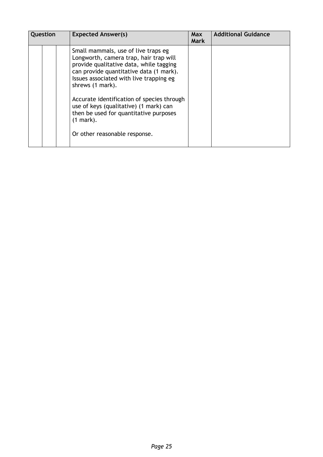| Question |  | <b>Expected Answer(s)</b>                                                                                                                                                                                                                                                                                                                                                                                             | <b>Max</b><br><b>Mark</b> | <b>Additional Guidance</b> |
|----------|--|-----------------------------------------------------------------------------------------------------------------------------------------------------------------------------------------------------------------------------------------------------------------------------------------------------------------------------------------------------------------------------------------------------------------------|---------------------------|----------------------------|
|          |  | Small mammals, use of live traps eg<br>Longworth, camera trap, hair trap will<br>provide qualitative data, while tagging<br>can provide quantitative data (1 mark).<br>Issues associated with live trapping eg<br>shrews (1 mark).<br>Accurate identification of species through<br>use of keys (qualitative) (1 mark) can<br>then be used for quantitative purposes<br>$(1 mark)$ .<br>Or other reasonable response. |                           |                            |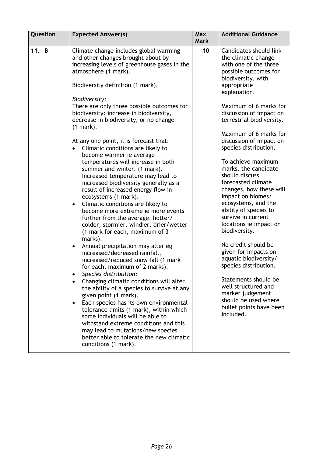| Question |   | <b>Expected Answer(s)</b>                                                                                                                                                                                                                                                                                                                                                                                                                                                                                                                                                                                                                                                                                                                                                                                                                                                                                                                                                                                                                                                                                                                                                                                                                                                                                                                                                                                                                                                                                     | <b>Max</b><br><b>Mark</b> | <b>Additional Guidance</b>                                                                                                                                                                                                                                                                                                                                                                                                                                                                                                                                                                                                                                                                                                                                                                                      |
|----------|---|---------------------------------------------------------------------------------------------------------------------------------------------------------------------------------------------------------------------------------------------------------------------------------------------------------------------------------------------------------------------------------------------------------------------------------------------------------------------------------------------------------------------------------------------------------------------------------------------------------------------------------------------------------------------------------------------------------------------------------------------------------------------------------------------------------------------------------------------------------------------------------------------------------------------------------------------------------------------------------------------------------------------------------------------------------------------------------------------------------------------------------------------------------------------------------------------------------------------------------------------------------------------------------------------------------------------------------------------------------------------------------------------------------------------------------------------------------------------------------------------------------------|---------------------------|-----------------------------------------------------------------------------------------------------------------------------------------------------------------------------------------------------------------------------------------------------------------------------------------------------------------------------------------------------------------------------------------------------------------------------------------------------------------------------------------------------------------------------------------------------------------------------------------------------------------------------------------------------------------------------------------------------------------------------------------------------------------------------------------------------------------|
| 11.      | B | Climate change includes global warming<br>and other changes brought about by<br>increasing levels of greenhouse gases in the<br>atmosphere (1 mark).<br>Biodiversity definition (1 mark).<br>Biodiversity:<br>There are only three possible outcomes for<br>biodiversity: increase in biodiversity,<br>decrease in biodiversity, or no change<br>$(1$ mark).<br>At any one point, it is forecast that:<br>Climatic conditions are likely to<br>$\bullet$<br>become warmer ie average<br>temperatures will increase in both<br>summer and winter. (1 mark).<br>Increased temperature may lead to<br>increased biodiversity generally as a<br>result of increased energy flow in<br>ecosystems (1 mark).<br>Climatic conditions are likely to<br>$\bullet$<br>become more extreme ie more events<br>further from the average, hotter/<br>colder, stormier, windier, drier/wetter<br>(1 mark for each, maximum of 3<br>marks).<br>Annual precipitation may alter eg<br>$\bullet$<br>increased/decreased rainfall,<br>increased/reduced snow fall (1 mark<br>for each, maximum of 2 marks).<br>Species distribution:<br>Changing climatic conditions will alter<br>the ability of a species to survive at any<br>given point (1 mark).<br>Each species has its own environmental<br>tolerance limits (1 mark), within which<br>some individuals will be able to<br>withstand extreme conditions and this<br>may lead to mutations/new species<br>better able to tolerate the new climatic<br>conditions (1 mark). | 10                        | Candidates should link<br>the climatic change<br>with one of the three<br>possible outcomes for<br>biodiversity, with<br>appropriate<br>explanation.<br>Maximum of 6 marks for<br>discussion of impact on<br>terrestrial biodiversity.<br>Maximum of 6 marks for<br>discussion of impact on<br>species distribution.<br>To achieve maximum<br>marks, the candidate<br>should discuss<br>forecasted climate<br>changes, how these will<br>impact on biomes/<br>ecosystems, and the<br>ability of species to<br>survive in current<br>locations ie impact on<br>biodiversity.<br>No credit should be<br>given for impacts on<br>aquatic biodiversity/<br>species distribution.<br>Statements should be<br>well structured and<br>marker judgement<br>should be used where<br>bullet points have been<br>included. |